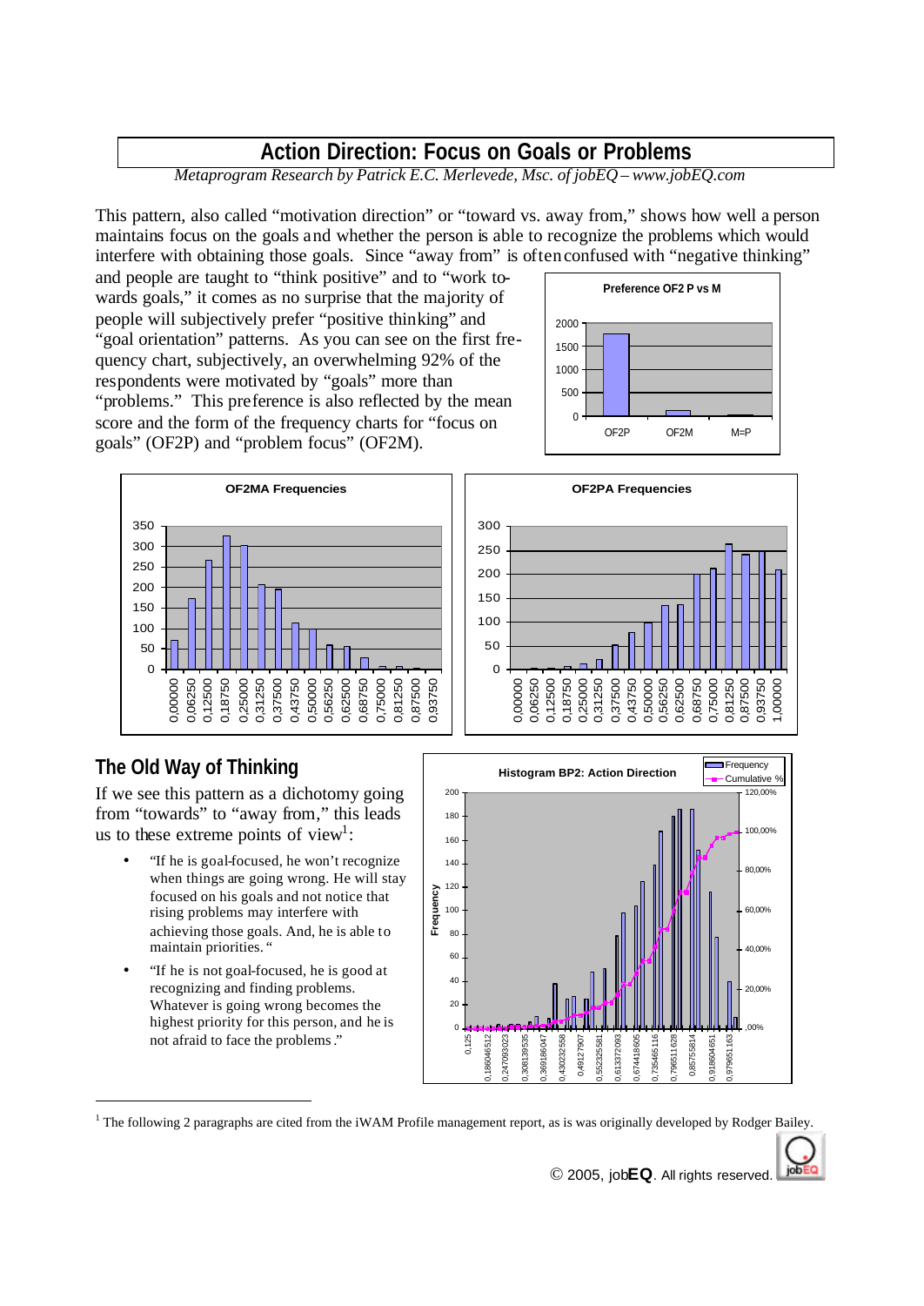## **Action Direction: Focus on Goals or Problems**

*Metaprogram Research by Patrick E.C. Merlevede, Msc. of jobEQ – www.jobEQ.com*

This pattern, also called "motivation direction" or "toward vs. away from," shows how well a person maintains focus on the goals and whether the person is able to recognize the problems which would interfere with obtaining those goals. Since "away from" is often confused with "negative thinking"

and people are taught to "think positive" and to "work towards goals," it comes as no surprise that the majority of people will subjectively prefer "positive thinking" and "goal orientation" patterns. As you can see on the first frequency chart, subjectively, an overwhelming 92% of the respondents were motivated by "goals" more than "problems." This preference is also reflected by the mean score and the form of the frequency charts for "focus on goals" (OF2P) and "problem focus" (OF2M).





## **The Old Way of Thinking**

If we see this pattern as a dichotomy going from "towards" to "away from," this leads us to these extreme points of view<sup>1</sup>:

- "If he is goal-focused, he won't recognize when things are going wrong. He will stay focused on his goals and not notice that rising problems may interfere with achieving those goals. And, he is able to maintain priorities. "
- "If he is not goal-focused, he is good at recognizing and finding problems. Whatever is going wrong becomes the highest priority for this person, and he is not afraid to face the problems."



<sup>1</sup> The following 2 paragraphs are cited from the iWAM Profile management report, as is was originally developed by Rodger Bailey.

jobl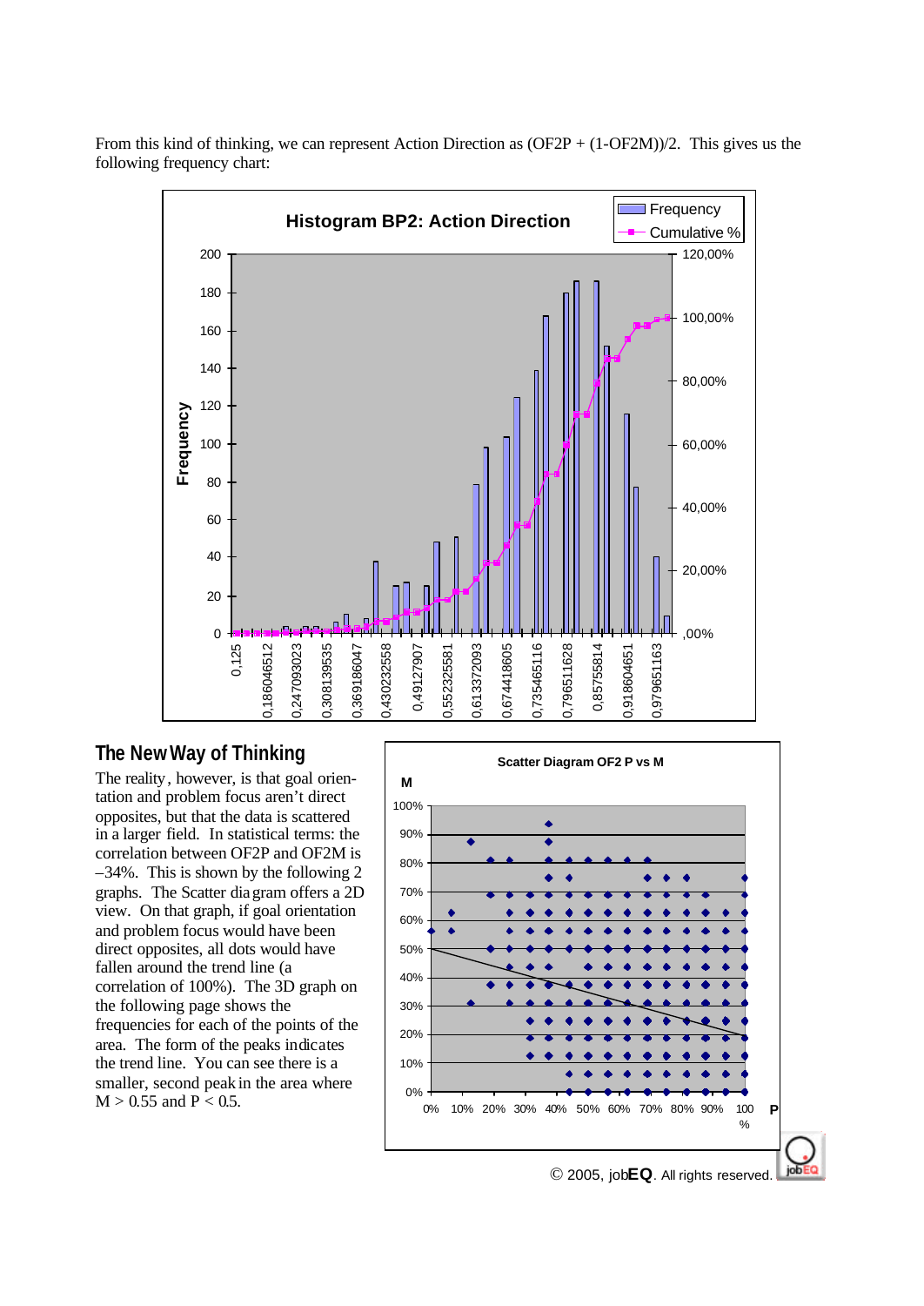

From this kind of thinking, we can represent Action Direction as (OF2P + (1-OF2M))/2. This gives us the following frequency chart:

## **The New Way of Thinking**

The reality, however, is that goal orientation and problem focus aren't direct opposites, but that the data is scattered in a larger field. In statistical terms: the correlation between OF2P and OF2M is –34%. This is shown by the following 2 graphs. The Scatter diagram offers a 2D view. On that graph, if goal orientation and problem focus would have been direct opposites, all dots would have fallen around the trend line (a correlation of 100%). The 3D graph on the following page shows the frequencies for each of the points of the area. The form of the peaks indicates the trend line. You can see there is a smaller, second peak in the area where  $M > 0.55$  and  $P < 0.5$ .



© 2005, job**EQ**. All rights reserved.